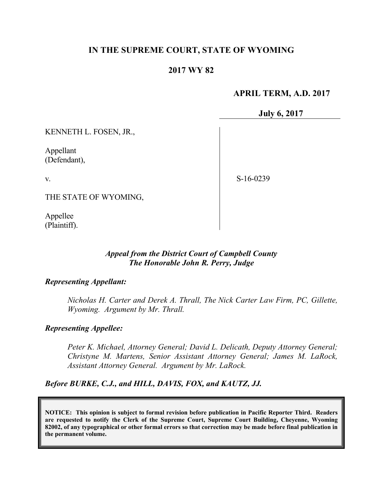# **IN THE SUPREME COURT, STATE OF WYOMING**

## **2017 WY 82**

#### **APRIL TERM, A.D. 2017**

**July 6, 2017**

KENNETH L. FOSEN, JR.,

Appellant (Defendant),

v.

S-16-0239

THE STATE OF WYOMING,

Appellee (Plaintiff).

### *Appeal from the District Court of Campbell County The Honorable John R. Perry, Judge*

#### *Representing Appellant:*

*Nicholas H. Carter and Derek A. Thrall, The Nick Carter Law Firm, PC, Gillette, Wyoming. Argument by Mr. Thrall.*

#### *Representing Appellee:*

*Peter K. Michael, Attorney General; David L. Delicath, Deputy Attorney General; Christyne M. Martens, Senior Assistant Attorney General; James M. LaRock, Assistant Attorney General. Argument by Mr. LaRock.*

### *Before BURKE, C.J., and HILL, DAVIS, FOX, and KAUTZ, JJ.*

**NOTICE: This opinion is subject to formal revision before publication in Pacific Reporter Third. Readers are requested to notify the Clerk of the Supreme Court, Supreme Court Building, Cheyenne, Wyoming 82002, of any typographical or other formal errors so that correction may be made before final publication in the permanent volume.**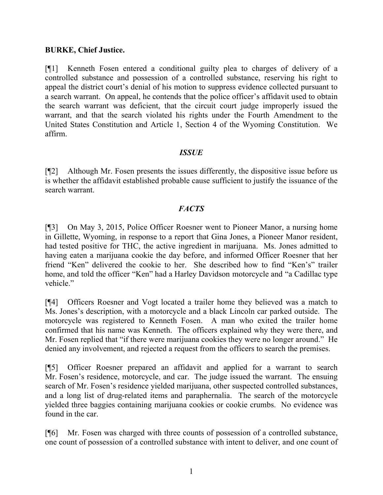## **BURKE, Chief Justice.**

[¶1] Kenneth Fosen entered a conditional guilty plea to charges of delivery of a controlled substance and possession of a controlled substance, reserving his right to appeal the district court's denial of his motion to suppress evidence collected pursuant to a search warrant. On appeal, he contends that the police officer's affidavit used to obtain the search warrant was deficient, that the circuit court judge improperly issued the warrant, and that the search violated his rights under the Fourth Amendment to the United States Constitution and Article 1, Section 4 of the Wyoming Constitution. We affirm.

## *ISSUE*

[¶2] Although Mr. Fosen presents the issues differently, the dispositive issue before us is whether the affidavit established probable cause sufficient to justify the issuance of the search warrant.

# *FACTS*

[¶3] On May 3, 2015, Police Officer Roesner went to Pioneer Manor, a nursing home in Gillette, Wyoming, in response to a report that Gina Jones, a Pioneer Manor resident, had tested positive for THC, the active ingredient in marijuana. Ms. Jones admitted to having eaten a marijuana cookie the day before, and informed Officer Roesner that her friend "Ken" delivered the cookie to her. She described how to find "Ken's" trailer home, and told the officer "Ken" had a Harley Davidson motorcycle and "a Cadillac type vehicle."

[¶4] Officers Roesner and Vogt located a trailer home they believed was a match to Ms. Jones's description, with a motorcycle and a black Lincoln car parked outside. The motorcycle was registered to Kenneth Fosen. A man who exited the trailer home confirmed that his name was Kenneth. The officers explained why they were there, and Mr. Fosen replied that "if there were marijuana cookies they were no longer around." He denied any involvement, and rejected a request from the officers to search the premises.

[¶5] Officer Roesner prepared an affidavit and applied for a warrant to search Mr. Fosen's residence, motorcycle, and car. The judge issued the warrant. The ensuing search of Mr. Fosen's residence yielded marijuana, other suspected controlled substances, and a long list of drug-related items and paraphernalia. The search of the motorcycle yielded three baggies containing marijuana cookies or cookie crumbs. No evidence was found in the car.

[¶6] Mr. Fosen was charged with three counts of possession of a controlled substance, one count of possession of a controlled substance with intent to deliver, and one count of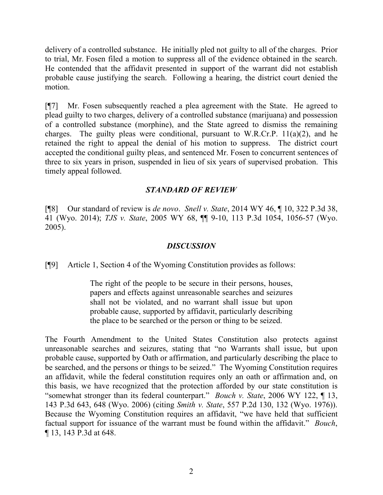delivery of a controlled substance. He initially pled not guilty to all of the charges. Prior to trial, Mr. Fosen filed a motion to suppress all of the evidence obtained in the search. He contended that the affidavit presented in support of the warrant did not establish probable cause justifying the search. Following a hearing, the district court denied the motion.

[¶7] Mr. Fosen subsequently reached a plea agreement with the State. He agreed to plead guilty to two charges, delivery of a controlled substance (marijuana) and possession of a controlled substance (morphine), and the State agreed to dismiss the remaining charges. The guilty pleas were conditional, pursuant to W.R.Cr.P.  $11(a)(2)$ , and he retained the right to appeal the denial of his motion to suppress. The district court accepted the conditional guilty pleas, and sentenced Mr. Fosen to concurrent sentences of three to six years in prison, suspended in lieu of six years of supervised probation. This timely appeal followed.

# *STANDARD OF REVIEW*

[¶8] Our standard of review is *de novo*. *Snell v. State*, 2014 WY 46, ¶ 10, 322 P.3d 38, 41 (Wyo. 2014); *TJS v. State*, 2005 WY 68, ¶¶ 9-10, 113 P.3d 1054, 1056-57 (Wyo. 2005).

### *DISCUSSION*

[¶9] Article 1, Section 4 of the Wyoming Constitution provides as follows:

The right of the people to be secure in their persons, houses, papers and effects against unreasonable searches and seizures shall not be violated, and no warrant shall issue but upon probable cause, supported by affidavit, particularly describing the place to be searched or the person or thing to be seized.

The Fourth Amendment to the United States Constitution also protects against unreasonable searches and seizures, stating that "no Warrants shall issue, but upon probable cause, supported by Oath or affirmation, and particularly describing the place to be searched, and the persons or things to be seized." The Wyoming Constitution requires an affidavit, while the federal constitution requires only an oath or affirmation and, on this basis, we have recognized that the protection afforded by our state constitution is "somewhat stronger than its federal counterpart." *Bouch v. State*, 2006 WY 122, ¶ 13, 143 P.3d 643, 648 (Wyo. 2006) (citing *Smith v. State*, 557 P.2d 130, 132 (Wyo. 1976)). Because the Wyoming Constitution requires an affidavit, "we have held that sufficient factual support for issuance of the warrant must be found within the affidavit." *Bouch*, ¶ 13, 143 P.3d at 648.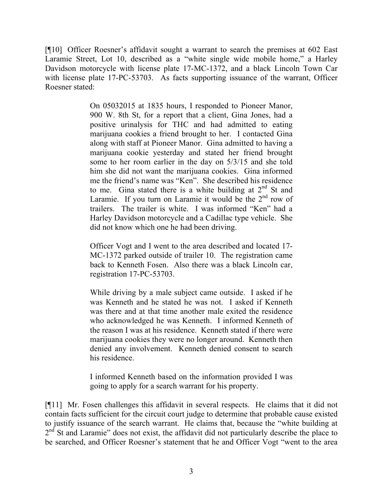[¶10] Officer Roesner's affidavit sought a warrant to search the premises at 602 East Laramie Street, Lot 10, described as a "white single wide mobile home," a Harley Davidson motorcycle with license plate 17-MC-1372, and a black Lincoln Town Car with license plate 17-PC-53703. As facts supporting issuance of the warrant, Officer Roesner stated:

> On 05032015 at 1835 hours, I responded to Pioneer Manor, 900 W. 8th St, for a report that a client, Gina Jones, had a positive urinalysis for THC and had admitted to eating marijuana cookies a friend brought to her. I contacted Gina along with staff at Pioneer Manor. Gina admitted to having a marijuana cookie yesterday and stated her friend brought some to her room earlier in the day on 5/3/15 and she told him she did not want the marijuana cookies. Gina informed me the friend's name was "Ken". She described his residence to me. Gina stated there is a white building at  $2<sup>nd</sup>$  St and Laramie. If you turn on Laramie it would be the  $2<sup>nd</sup>$  row of trailers. The trailer is white. I was informed "Ken" had a Harley Davidson motorcycle and a Cadillac type vehicle. She did not know which one he had been driving.

Officer Vogt and I went to the area described and located 17- MC-1372 parked outside of trailer 10. The registration came back to Kenneth Fosen. Also there was a black Lincoln car, registration 17-PC-53703.

While driving by a male subject came outside. I asked if he was Kenneth and he stated he was not. I asked if Kenneth was there and at that time another male exited the residence who acknowledged he was Kenneth. I informed Kenneth of the reason I was at his residence. Kenneth stated if there were marijuana cookies they were no longer around. Kenneth then denied any involvement. Kenneth denied consent to search his residence.

I informed Kenneth based on the information provided I was going to apply for a search warrant for his property.

[¶11] Mr. Fosen challenges this affidavit in several respects. He claims that it did not contain facts sufficient for the circuit court judge to determine that probable cause existed to justify issuance of the search warrant. He claims that, because the "white building at  $2<sup>nd</sup>$  St and Laramie" does not exist, the affidavit did not particularly describe the place to be searched, and Officer Roesner's statement that he and Officer Vogt "went to the area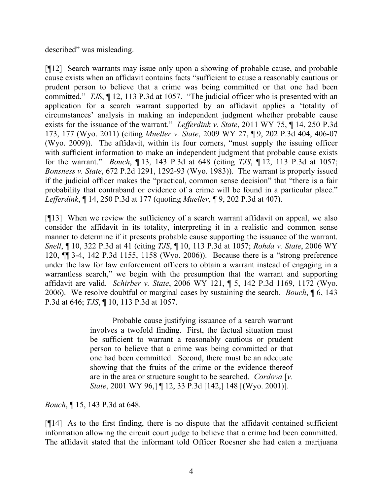described" was misleading.

[¶12] Search warrants may issue only upon a showing of probable cause, and probable cause exists when an affidavit contains facts "sufficient to cause a reasonably cautious or prudent person to believe that a crime was being committed or that one had been committed." *TJS*, ¶ 12, 113 P.3d at 1057. "The judicial officer who is presented with an application for a search warrant supported by an affidavit applies a 'totality of circumstances' analysis in making an independent judgment whether probable cause exists for the issuance of the warrant." *Lefferdink v. State*, 2011 WY 75, ¶ 14, 250 P.3d 173, 177 (Wyo. 2011) (citing *Mueller v. State*, 2009 WY 27, ¶ 9, 202 P.3d 404, 406-07 (Wyo. 2009)). The affidavit, within its four corners, "must supply the issuing officer with sufficient information to make an independent judgment that probable cause exists for the warrant." *Bouch*, ¶ 13, 143 P.3d at 648 (citing *TJS*, ¶ 12, 113 P.3d at 1057; *Bonsness v. State*, 672 P.2d 1291, 1292-93 (Wyo. 1983)). The warrant is properly issued if the judicial officer makes the "practical, common sense decision" that "there is a fair probability that contraband or evidence of a crime will be found in a particular place." *Lefferdink*, ¶ 14, 250 P.3d at 177 (quoting *Mueller*, ¶ 9, 202 P.3d at 407).

[¶13] When we review the sufficiency of a search warrant affidavit on appeal, we also consider the affidavit in its totality, interpreting it in a realistic and common sense manner to determine if it presents probable cause supporting the issuance of the warrant. *Snell*, ¶ 10, 322 P.3d at 41 (citing *TJS*, ¶ 10, 113 P.3d at 1057; *Rohda v. State*, 2006 WY 120, ¶¶ 3-4, 142 P.3d 1155, 1158 (Wyo. 2006)). Because there is a "strong preference under the law for law enforcement officers to obtain a warrant instead of engaging in a warrantless search," we begin with the presumption that the warrant and supporting affidavit are valid. *Schirber v. State*, 2006 WY 121, ¶ 5, 142 P.3d 1169, 1172 (Wyo. 2006). We resolve doubtful or marginal cases by sustaining the search. *Bouch*, ¶ 6, 143 P.3d at 646; *TJS*, ¶ 10, 113 P.3d at 1057.

> Probable cause justifying issuance of a search warrant involves a twofold finding. First, the factual situation must be sufficient to warrant a reasonably cautious or prudent person to believe that a crime was being committed or that one had been committed. Second, there must be an adequate showing that the fruits of the crime or the evidence thereof are in the area or structure sought to be searched. *Cordova* [*v. State*, 2001 WY 96,] ¶ 12, 33 P.3d [142,] 148 [(Wyo. 2001)].

*Bouch*, ¶ 15, 143 P.3d at 648.

[¶14] As to the first finding, there is no dispute that the affidavit contained sufficient information allowing the circuit court judge to believe that a crime had been committed. The affidavit stated that the informant told Officer Roesner she had eaten a marijuana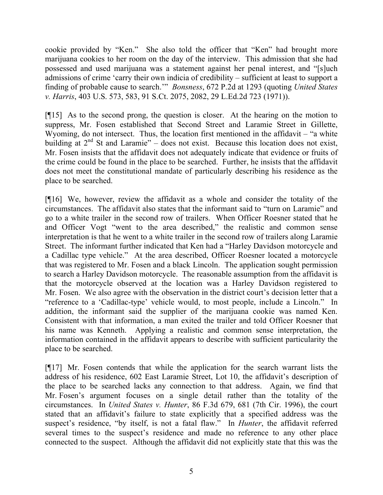cookie provided by "Ken." She also told the officer that "Ken" had brought more marijuana cookies to her room on the day of the interview. This admission that she had possessed and used marijuana was a statement against her penal interest, and "[s]uch admissions of crime 'carry their own indicia of credibility – sufficient at least to support a finding of probable cause to search.'" *Bonsness*, 672 P.2d at 1293 (quoting *United States v. Harris*, 403 U.S. 573, 583, 91 S.Ct. 2075, 2082, 29 L.Ed.2d 723 (1971)).

[¶15] As to the second prong, the question is closer. At the hearing on the motion to suppress, Mr. Fosen established that Second Street and Laramie Street in Gillette, Wyoming, do not intersect. Thus, the location first mentioned in the affidavit – "a white building at  $2<sup>nd</sup>$  St and Laramie" – does not exist. Because this location does not exist, Mr. Fosen insists that the affidavit does not adequately indicate that evidence or fruits of the crime could be found in the place to be searched. Further, he insists that the affidavit does not meet the constitutional mandate of particularly describing his residence as the place to be searched.

[¶16] We, however, review the affidavit as a whole and consider the totality of the circumstances. The affidavit also states that the informant said to "turn on Laramie" and go to a white trailer in the second row of trailers. When Officer Roesner stated that he and Officer Vogt "went to the area described," the realistic and common sense interpretation is that he went to a white trailer in the second row of trailers along Laramie Street. The informant further indicated that Ken had a "Harley Davidson motorcycle and a Cadillac type vehicle." At the area described, Officer Roesner located a motorcycle that was registered to Mr. Fosen and a black Lincoln. The application sought permission to search a Harley Davidson motorcycle. The reasonable assumption from the affidavit is that the motorcycle observed at the location was a Harley Davidson registered to Mr. Fosen. We also agree with the observation in the district court's decision letter that a "reference to a 'Cadillac-type' vehicle would, to most people, include a Lincoln." In addition, the informant said the supplier of the marijuana cookie was named Ken. Consistent with that information, a man exited the trailer and told Officer Roesner that his name was Kenneth. Applying a realistic and common sense interpretation, the information contained in the affidavit appears to describe with sufficient particularity the place to be searched.

[¶17] Mr. Fosen contends that while the application for the search warrant lists the address of his residence, 602 East Laramie Street, Lot 10, the affidavit's description of the place to be searched lacks any connection to that address. Again, we find that Mr. Fosen's argument focuses on a single detail rather than the totality of the circumstances. In *United States v. Hunter*, 86 F.3d 679, 681 (7th Cir. 1996), the court stated that an affidavit's failure to state explicitly that a specified address was the suspect's residence, "by itself, is not a fatal flaw." In *Hunter*, the affidavit referred several times to the suspect's residence and made no reference to any other place connected to the suspect. Although the affidavit did not explicitly state that this was the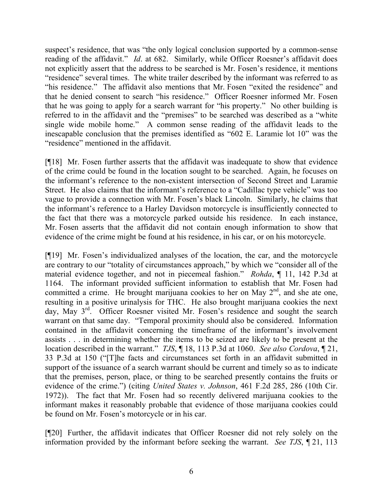suspect's residence, that was "the only logical conclusion supported by a common-sense reading of the affidavit." *Id*. at 682. Similarly, while Officer Roesner's affidavit does not explicitly assert that the address to be searched is Mr. Fosen's residence, it mentions "residence" several times. The white trailer described by the informant was referred to as "his residence." The affidavit also mentions that Mr. Fosen "exited the residence" and that he denied consent to search "his residence." Officer Roesner informed Mr. Fosen that he was going to apply for a search warrant for "his property." No other building is referred to in the affidavit and the "premises" to be searched was described as a "white single wide mobile home." A common sense reading of the affidavit leads to the inescapable conclusion that the premises identified as "602 E. Laramie lot 10" was the "residence" mentioned in the affidavit.

[¶18] Mr. Fosen further asserts that the affidavit was inadequate to show that evidence of the crime could be found in the location sought to be searched. Again, he focuses on the informant's reference to the non-existent intersection of Second Street and Laramie Street. He also claims that the informant's reference to a "Cadillac type vehicle" was too vague to provide a connection with Mr. Fosen's black Lincoln. Similarly, he claims that the informant's reference to a Harley Davidson motorcycle is insufficiently connected to the fact that there was a motorcycle parked outside his residence. In each instance, Mr. Fosen asserts that the affidavit did not contain enough information to show that evidence of the crime might be found at his residence, in his car, or on his motorcycle.

[¶19] Mr. Fosen's individualized analyses of the location, the car, and the motorcycle are contrary to our "totality of circumstances approach," by which we "consider all of the material evidence together, and not in piecemeal fashion." *Rohda*, ¶ 11, 142 P.3d at 1164. The informant provided sufficient information to establish that Mr. Fosen had committed a crime. He brought marijuana cookies to her on May  $2<sup>nd</sup>$ , and she ate one, resulting in a positive urinalysis for THC. He also brought marijuana cookies the next day, May 3<sup>rd</sup>. Officer Roesner visited Mr. Fosen's residence and sought the search warrant on that same day. "Temporal proximity should also be considered. Information contained in the affidavit concerning the timeframe of the informant's involvement assists . . . in determining whether the items to be seized are likely to be present at the location described in the warrant." *TJS*, ¶ 18, 113 P.3d at 1060. *See also Cordova*, ¶ 21, 33 P.3d at 150 ("[T]he facts and circumstances set forth in an affidavit submitted in support of the issuance of a search warrant should be current and timely so as to indicate that the premises, person, place, or thing to be searched presently contains the fruits or evidence of the crime.") (citing *United States v. Johnson*, 461 F.2d 285, 286 (10th Cir. 1972)). The fact that Mr. Fosen had so recently delivered marijuana cookies to the informant makes it reasonably probable that evidence of those marijuana cookies could be found on Mr. Fosen's motorcycle or in his car.

[¶20] Further, the affidavit indicates that Officer Roesner did not rely solely on the information provided by the informant before seeking the warrant. *See TJS*, ¶ 21, 113